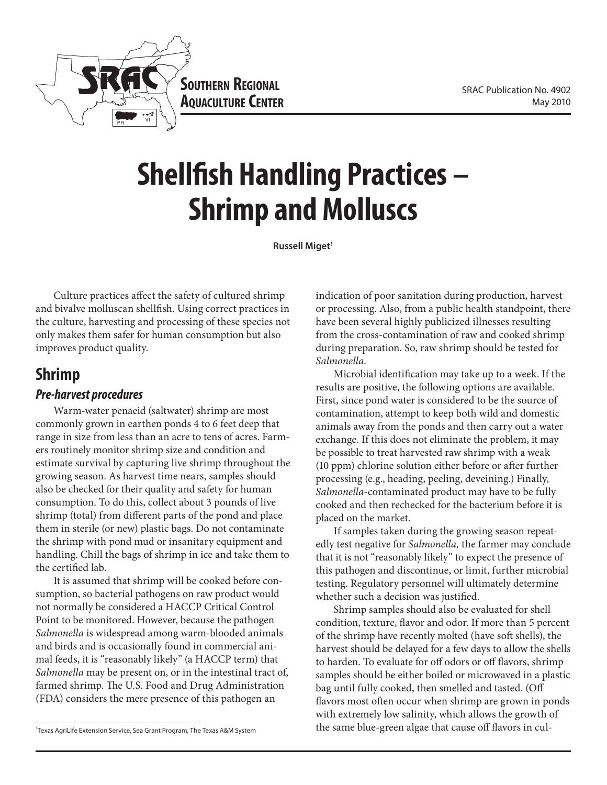

**Southern Regional AQUACULTURE CENTER** 

# **Shellfish Handling Practices – Shrimp and Molluscs**

**Russell Miget<sup>1</sup>** 

Culture practices affect the safety of cultured shrimp and bivalve molluscan shellfish. Using correct practices in the culture, harvesting and processing of these species not only makes them safer for human consumption but also improves product quality.

# **Shrimp**

## *Pre-harvest procedures*

Warm-water penaeid (saltwater) shrimp are most commonly grown in earthen ponds 4 to 6 feet deep that range in size from less than an acre to tens of acres. Farmers routinely monitor shrimp size and condition and estimate survival by capturing live shrimp throughout the growing season. As harvest time nears, samples should also be checked for their quality and safety for human consumption. To do this, collect about 3 pounds of live shrimp (total) from different parts of the pond and place them in sterile (or new) plastic bags. Do not contaminate the shrimp with pond mud or insanitary equipment and handling. Chill the bags of shrimp in ice and take them to the certified lab.

It is assumed that shrimp will be cooked before consumption, so bacterial pathogens on raw product would not normally be considered a HACCP Critical Control Point to be monitored. However, because the pathogen *Salmonella* is widespread among warm-blooded animals and birds and is occasionally found in commercial animal feeds, it is "reasonably likely" (a HACCP term) that *Salmonella* may be present on, or in the intestinal tract of, farmed shrimp. The U.S. Food and Drug Administration (FDA) considers the mere presence of this pathogen an

indication of poor sanitation during production, harvest or processing. Also, from a public health standpoint, there have been several highly publicized illnesses resulting from the cross-contamination of raw and cooked shrimp during preparation. So, raw shrimp should be tested for *Salmonella.*

Microbial identification may take up to a week. If the results are positive, the following options are available. First, since pond water is considered to be the source of contamination, attempt to keep both wild and domestic animals away from the ponds and then carry out a water exchange. If this does not eliminate the problem, it may be possible to treat harvested raw shrimp with a weak (10 ppm) chlorine solution either before or after further processing (e.g., heading, peeling, deveining.) Finally, *Salmonella*-contaminated product may have to be fully cooked and then rechecked for the bacterium before it is placed on the market.

If samples taken during the growing season repeatedly test negative for *Salmonella,* the farmer may conclude that it is not "reasonably likely" to expect the presence of this pathogen and discontinue, or limit, further microbial testing. Regulatory personnel will ultimately determine whether such a decision was justified.

Shrimp samples should also be evaluated for shell condition, texture, flavor and odor. If more than 5 percent of the shrimp have recently molted (have soft shells), the harvest should be delayed for a few days to allow the shells to harden. To evaluate for off odors or off flavors, shrimp samples should be either boiled or microwaved in a plastic bag until fully cooked, then smelled and tasted. (Off flavors most often occur when shrimp are grown in ponds with extremely low salinity, which allows the growth of the same blue-green algae that cause off flavors in cul-

<sup>1</sup> Texas AgriLife Extension Service, Sea Grant Program, The Texas A&M System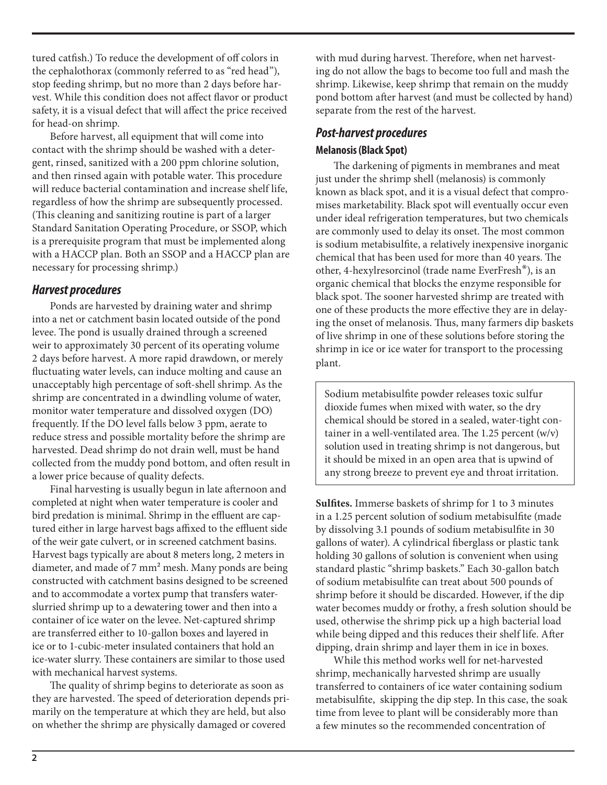tured catfish.) To reduce the development of off colors in the cephalothorax (commonly referred to as "red head"), stop feeding shrimp, but no more than 2 days before harvest. While this condition does not affect flavor or product safety, it is a visual defect that will affect the price received for head-on shrimp.

Before harvest, all equipment that will come into contact with the shrimp should be washed with a detergent, rinsed, sanitized with a 200 ppm chlorine solution, and then rinsed again with potable water. This procedure will reduce bacterial contamination and increase shelf life, regardless of how the shrimp are subsequently processed. (This cleaning and sanitizing routine is part of a larger Standard Sanitation Operating Procedure, or SSOP, which is a prerequisite program that must be implemented along with a HACCP plan. Both an SSOP and a HACCP plan are necessary for processing shrimp.)

## *Harvest procedures*

Ponds are harvested by draining water and shrimp into a net or catchment basin located outside of the pond levee. The pond is usually drained through a screened weir to approximately 30 percent of its operating volume 2 days before harvest. A more rapid drawdown, or merely fluctuating water levels, can induce molting and cause an unacceptably high percentage of soft-shell shrimp. As the shrimp are concentrated in a dwindling volume of water, monitor water temperature and dissolved oxygen (DO) frequently. If the DO level falls below 3 ppm, aerate to reduce stress and possible mortality before the shrimp are harvested. Dead shrimp do not drain well, must be hand collected from the muddy pond bottom, and often result in a lower price because of quality defects.

Final harvesting is usually begun in late afternoon and completed at night when water temperature is cooler and bird predation is minimal. Shrimp in the effluent are captured either in large harvest bags affixed to the effluent side of the weir gate culvert, or in screened catchment basins. Harvest bags typically are about 8 meters long, 2 meters in diameter, and made of 7 mm² mesh. Many ponds are being constructed with catchment basins designed to be screened and to accommodate a vortex pump that transfers waterslurried shrimp up to a dewatering tower and then into a container of ice water on the levee. Net-captured shrimp are transferred either to 10-gallon boxes and layered in ice or to 1-cubic-meter insulated containers that hold an ice-water slurry. These containers are similar to those used with mechanical harvest systems.

The quality of shrimp begins to deteriorate as soon as they are harvested. The speed of deterioration depends primarily on the temperature at which they are held, but also on whether the shrimp are physically damaged or covered

with mud during harvest. Therefore, when net harvesting do not allow the bags to become too full and mash the shrimp. Likewise, keep shrimp that remain on the muddy pond bottom after harvest (and must be collected by hand) separate from the rest of the harvest.

## *Post-harvest procedures* **Melanosis(Black Spot)**

The darkening of pigments in membranes and meat just under the shrimp shell (melanosis) is commonly known as black spot, and it is a visual defect that compromises marketability. Black spot will eventually occur even under ideal refrigeration temperatures, but two chemicals are commonly used to delay its onset. The most common is sodium metabisulfite, a relatively inexpensive inorganic chemical that has been used for more than 40 years. The other, 4-hexylresorcinol (trade name EverFresh®), is an organic chemical that blocks the enzyme responsible for black spot. The sooner harvested shrimp are treated with one of these products the more effective they are in delaying the onset of melanosis. Thus, many farmers dip baskets of live shrimp in one of these solutions before storing the shrimp in ice or ice water for transport to the processing plant.

Sodium metabisulfite powder releases toxic sulfur dioxide fumes when mixed with water, so the dry chemical should be stored in a sealed, water-tight container in a well-ventilated area. The 1.25 percent (w/v) solution used in treating shrimp is not dangerous, but it should be mixed in an open area that is upwind of any strong breeze to prevent eye and throat irritation.

**Sulfites.** Immerse baskets of shrimp for 1 to 3 minutes in a 1.25 percent solution of sodium metabisulfite (made by dissolving 3.1 pounds of sodium metabisulfite in 30 gallons of water). A cylindrical fiberglass or plastic tank holding 30 gallons of solution is convenient when using standard plastic "shrimp baskets." Each 30-gallon batch of sodium metabisulfite can treat about 500 pounds of shrimp before it should be discarded. However, if the dip water becomes muddy or frothy, a fresh solution should be used, otherwise the shrimp pick up a high bacterial load while being dipped and this reduces their shelf life. After dipping, drain shrimp and layer them in ice in boxes.

While this method works well for net-harvested shrimp, mechanically harvested shrimp are usually transferred to containers of ice water containing sodium metabisulfite, skipping the dip step. In this case, the soak time from levee to plant will be considerably more than a few minutes so the recommended concentration of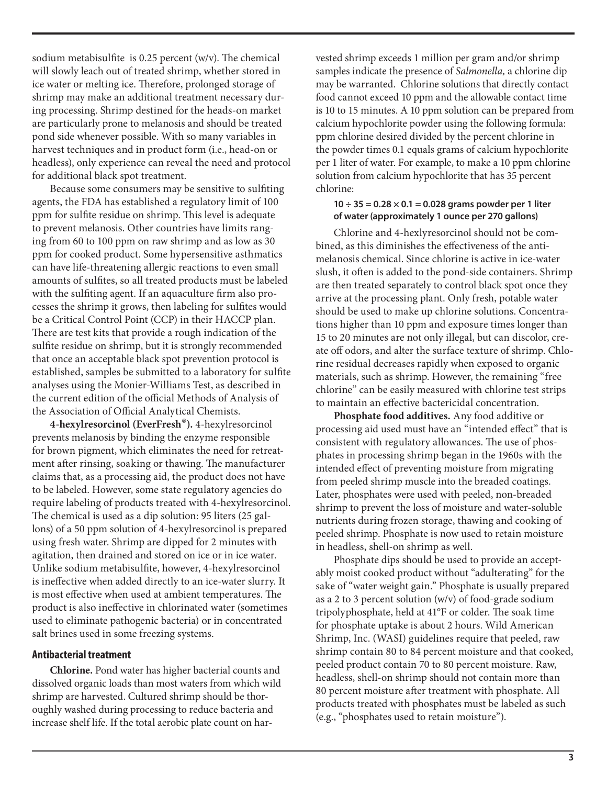sodium metabisulfite is 0.25 percent (w/v). The chemical will slowly leach out of treated shrimp, whether stored in ice water or melting ice. Therefore, prolonged storage of shrimp may make an additional treatment necessary during processing. Shrimp destined for the heads-on market are particularly prone to melanosis and should be treated pond side whenever possible. With so many variables in harvest techniques and in product form (i.e., head-on or headless), only experience can reveal the need and protocol for additional black spot treatment.

Because some consumers may be sensitive to sulfiting agents, the FDA has established a regulatory limit of 100 ppm for sulfite residue on shrimp. This level is adequate to prevent melanosis. Other countries have limits ranging from 60 to 100 ppm on raw shrimp and as low as 30 ppm for cooked product. Some hypersensitive asthmatics can have life-threatening allergic reactions to even small amounts of sulfites, so all treated products must be labeled with the sulfiting agent. If an aquaculture firm also processes the shrimp it grows, then labeling for sulfites would be a Critical Control Point (CCP) in their HACCP plan. There are test kits that provide a rough indication of the sulfite residue on shrimp, but it is strongly recommended that once an acceptable black spot prevention protocol is established, samples be submitted to a laboratory for sulfite analyses using the Monier-Williams Test, as described in the current edition of the official Methods of Analysis of the Association of Official Analytical Chemists.

**4-hexylresorcinol (EverFresh®).** 4-hexylresorcinol prevents melanosis by binding the enzyme responsible for brown pigment, which eliminates the need for retreatment after rinsing, soaking or thawing. The manufacturer claims that, as a processing aid, the product does not have to be labeled. However, some state regulatory agencies do require labeling of products treated with 4-hexylresorcinol. The chemical is used as a dip solution: 95 liters (25 gallons) of a 50 ppm solution of 4-hexylresorcinol is prepared using fresh water. Shrimp are dipped for 2 minutes with agitation, then drained and stored on ice or in ice water. Unlike sodium metabisulfite, however, 4-hexylresorcinol is ineffective when added directly to an ice-water slurry. It is most effective when used at ambient temperatures. The product is also ineffective in chlorinated water (sometimes used to eliminate pathogenic bacteria) or in concentrated salt brines used in some freezing systems.

#### **Antibacterial treatment**

**Chlorine.** Pond water has higher bacterial counts and dissolved organic loads than most waters from which wild shrimp are harvested. Cultured shrimp should be thoroughly washed during processing to reduce bacteria and increase shelf life. If the total aerobic plate count on harvested shrimp exceeds 1 million per gram and/or shrimp samples indicate the presence of *Salmonella,* a chlorine dip may be warranted. Chlorine solutions that directly contact food cannot exceed 10 ppm and the allowable contact time is 10 to 15 minutes. A 10 ppm solution can be prepared from calcium hypochlorite powder using the following formula: ppm chlorine desired divided by the percent chlorine in the powder times 0.1 equals grams of calcium hypochlorite per 1 liter of water. For example, to make a 10 ppm chlorine solution from calcium hypochlorite that has 35 percent chlorine:

#### **10 ÷ 35 = 0.28 × 0.1 = 0.028 grams powder per 1 liter of water (approximately 1 ounce per 270 gallons)**

Chlorine and 4-hexlyresorcinol should not be combined, as this diminishes the effectiveness of the antimelanosis chemical. Since chlorine is active in ice-water slush, it often is added to the pond-side containers. Shrimp are then treated separately to control black spot once they arrive at the processing plant. Only fresh, potable water should be used to make up chlorine solutions. Concentrations higher than 10 ppm and exposure times longer than 15 to 20 minutes are not only illegal, but can discolor, create off odors, and alter the surface texture of shrimp. Chlorine residual decreases rapidly when exposed to organic materials, such as shrimp. However, the remaining "free chlorine" can be easily measured with chlorine test strips to maintain an effective bactericidal concentration.

**Phosphate food additives.** Any food additive or processing aid used must have an "intended effect" that is consistent with regulatory allowances. The use of phosphates in processing shrimp began in the 1960s with the intended effect of preventing moisture from migrating from peeled shrimp muscle into the breaded coatings. Later, phosphates were used with peeled, non-breaded shrimp to prevent the loss of moisture and water-soluble nutrients during frozen storage, thawing and cooking of peeled shrimp. Phosphate is now used to retain moisture in headless, shell-on shrimp as well.

Phosphate dips should be used to provide an acceptably moist cooked product without "adulterating" for the sake of "water weight gain." Phosphate is usually prepared as a 2 to 3 percent solution (w/v) of food-grade sodium tripolyphosphate, held at 41°F or colder. The soak time for phosphate uptake is about 2 hours. Wild American Shrimp, Inc. (WASI) guidelines require that peeled, raw shrimp contain 80 to 84 percent moisture and that cooked, peeled product contain 70 to 80 percent moisture. Raw, headless, shell-on shrimp should not contain more than 80 percent moisture after treatment with phosphate. All products treated with phosphates must be labeled as such (e.g., "phosphates used to retain moisture").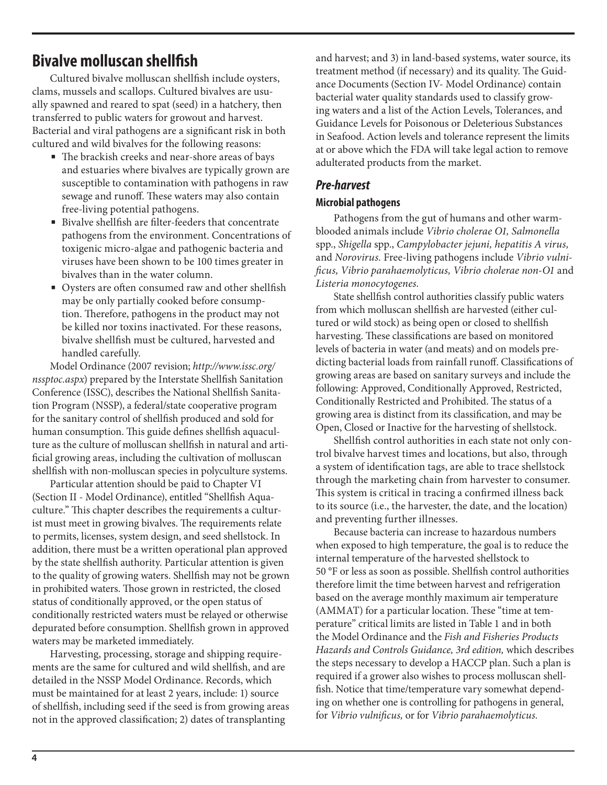# **Bivalve molluscan shellfish**

Cultured bivalve molluscan shellfish include oysters, clams, mussels and scallops. Cultured bivalves are usually spawned and reared to spat (seed) in a hatchery, then transferred to public waters for growout and harvest. Bacterial and viral pathogens are a significant risk in both cultured and wild bivalves for the following reasons:

- The brackish creeks and near-shore areas of bays and estuaries where bivalves are typically grown are susceptible to contamination with pathogens in raw sewage and runoff. These waters may also contain free-living potential pathogens.
- Bivalve shellfish are filter-feeders that concentrate pathogens from the environment. Concentrations of toxigenic micro-algae and pathogenic bacteria and viruses have been shown to be 100 times greater in bivalves than in the water column.
- Oysters are often consumed raw and other shellfish may be only partially cooked before consumption. Therefore, pathogens in the product may not be killed nor toxins inactivated. For these reasons, bivalve shellfish must be cultured, harvested and handled carefully.

Model Ordinance (2007 revision; *http://www.issc.org/ nssptoc.aspx*) prepared by the Interstate Shellfish Sanitation Conference (ISSC), describes the National Shellfish Sanitation Program (NSSP), a federal/state cooperative program for the sanitary control of shellfish produced and sold for human consumption. This guide defines shellfish aquaculture as the culture of molluscan shellfish in natural and artificial growing areas, including the cultivation of molluscan shellfish with non-molluscan species in polyculture systems.

Particular attention should be paid to Chapter VI (Section II - Model Ordinance), entitled "Shellfish Aquaculture." This chapter describes the requirements a culturist must meet in growing bivalves. The requirements relate to permits, licenses, system design, and seed shellstock. In addition, there must be a written operational plan approved by the state shellfish authority. Particular attention is given to the quality of growing waters. Shellfish may not be grown in prohibited waters. Those grown in restricted, the closed status of conditionally approved, or the open status of conditionally restricted waters must be relayed or otherwise depurated before consumption. Shellfish grown in approved waters may be marketed immediately.

Harvesting, processing, storage and shipping requirements are the same for cultured and wild shellfish, and are detailed in the NSSP Model Ordinance. Records, which must be maintained for at least 2 years, include: 1) source of shellfish, including seed if the seed is from growing areas not in the approved classification; 2) dates of transplanting

and harvest; and 3) in land-based systems, water source, its treatment method (if necessary) and its quality. The Guidance Documents (Section IV- Model Ordinance) contain bacterial water quality standards used to classify growing waters and a list of the Action Levels, Tolerances, and Guidance Levels for Poisonous or Deleterious Substances in Seafood. Action levels and tolerance represent the limits at or above which the FDA will take legal action to remove adulterated products from the market.

## *Pre-harvest*

#### **Microbial pathogens**

Pathogens from the gut of humans and other warmblooded animals include *Vibrio cholerae O1, Salmonella*  spp., *Shigella* spp., *Campylobacter jejuni, hepatitis A virus,*  and *Norovirus.* Free-living pathogens include *Vibrio vulnificus, Vibrio parahaemolyticus, Vibrio cholerae non-O1* and *Listeria monocytogenes.* 

State shellfish control authorities classify public waters from which molluscan shellfish are harvested (either cultured or wild stock) as being open or closed to shellfish harvesting. These classifications are based on monitored levels of bacteria in water (and meats) and on models predicting bacterial loads from rainfall runoff. Classifications of growing areas are based on sanitary surveys and include the following: Approved, Conditionally Approved, Restricted, Conditionally Restricted and Prohibited. The status of a growing area is distinct from its classification, and may be Open, Closed or Inactive for the harvesting of shellstock.

Shellfish control authorities in each state not only control bivalve harvest times and locations, but also, through a system of identification tags, are able to trace shellstock through the marketing chain from harvester to consumer. This system is critical in tracing a confirmed illness back to its source (i.e., the harvester, the date, and the location) and preventing further illnesses.

Because bacteria can increase to hazardous numbers when exposed to high temperature, the goal is to reduce the internal temperature of the harvested shellstock to 50 °F or less as soon as possible. Shellfish control authorities therefore limit the time between harvest and refrigeration based on the average monthly maximum air temperature (AMMAT) for a particular location. These "time at temperature" critical limits are listed in Table 1 and in both the Model Ordinance and the *Fish and Fisheries Products Hazards and Controls Guidance, 3rd edition,* which describes the steps necessary to develop a HACCP plan. Such a plan is required if a grower also wishes to process molluscan shellfish. Notice that time/temperature vary somewhat depending on whether one is controlling for pathogens in general, for *Vibrio vulnificus,* or for *Vibrio parahaemolyticus.*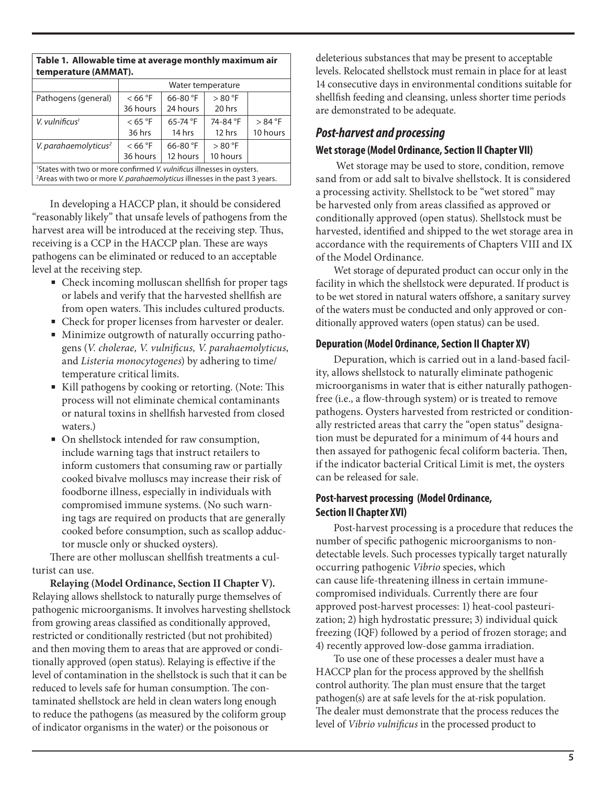| temperature (AMMAT).                                                                                                                                                                       |                   |                   |          |          |  |
|--------------------------------------------------------------------------------------------------------------------------------------------------------------------------------------------|-------------------|-------------------|----------|----------|--|
|                                                                                                                                                                                            | Water temperature |                   |          |          |  |
| Pathogens (general)                                                                                                                                                                        | < 66 °F           | 66-80 $\degree$ F | > 80 °F  |          |  |
|                                                                                                                                                                                            | 36 hours          | 24 hours          | 20 hrs   |          |  |
| V. vulnificus <sup>1</sup>                                                                                                                                                                 | $<$ 65 °F         | $65 - 74$ °F      | 74-84 °F | > 84 °F  |  |
|                                                                                                                                                                                            | 36 hrs            | 14 hrs            | $12$ hrs | 10 hours |  |
| V. parahaemolyticus <sup>2</sup>                                                                                                                                                           | < 66 °F           | 66-80 $\degree$ F | > 80 °F  |          |  |
|                                                                                                                                                                                            | 36 hours          | 12 hours          | 10 hours |          |  |
| <sup>1</sup> States with two or more confirmed <i>V. vulnificus</i> illnesses in oysters.<br><sup>2</sup> Areas with two or more <i>V. parahaemolyticus</i> illnesses in the past 3 years. |                   |                   |          |          |  |

**Table 1. Allowable time at average monthly maximum air** 

In developing a HACCP plan, it should be considered "reasonably likely" that unsafe levels of pathogens from the harvest area will be introduced at the receiving step. Thus, receiving is a CCP in the HACCP plan. These are ways pathogens can be eliminated or reduced to an acceptable level at the receiving step.

- Check incoming molluscan shellfish for proper tags or labels and verify that the harvested shellfish are from open waters. This includes cultured products.
- Check for proper licenses from harvester or dealer.
- Minimize outgrowth of naturally occurring pathogens (*V. cholerae, V. vulnificus, V. parahaemolyticus,*  and *Listeria monocytogenes*) by adhering to time/ temperature critical limits.
- Kill pathogens by cooking or retorting. (Note: This process will not eliminate chemical contaminants or natural toxins in shellfish harvested from closed waters.)
- On shellstock intended for raw consumption, include warning tags that instruct retailers to inform customers that consuming raw or partially cooked bivalve molluscs may increase their risk of foodborne illness, especially in individuals with compromised immune systems. (No such warning tags are required on products that are generally cooked before consumption, such as scallop adductor muscle only or shucked oysters).

There are other molluscan shellfish treatments a culturist can use.

**Relaying (Model Ordinance, Section II Chapter V).** Relaying allows shellstock to naturally purge themselves of pathogenic microorganisms. It involves harvesting shellstock from growing areas classified as conditionally approved, restricted or conditionally restricted (but not prohibited) and then moving them to areas that are approved or conditionally approved (open status). Relaying is effective if the level of contamination in the shellstock is such that it can be reduced to levels safe for human consumption. The contaminated shellstock are held in clean waters long enough to reduce the pathogens (as measured by the coliform group of indicator organisms in the water) or the poisonous or

deleterious substances that may be present to acceptable levels. Relocated shellstock must remain in place for at least 14 consecutive days in environmental conditions suitable for shellfish feeding and cleansing, unless shorter time periods are demonstrated to be adequate.

## *Post-harvest and processing*

#### **Wet storage (Model Ordinance, Section II Chapter VII)**

 Wet storage may be used to store, condition, remove sand from or add salt to bivalve shellstock. It is considered a processing activity. Shellstock to be "wet stored" may be harvested only from areas classified as approved or conditionally approved (open status). Shellstock must be harvested, identified and shipped to the wet storage area in accordance with the requirements of Chapters VIII and IX of the Model Ordinance.

Wet storage of depurated product can occur only in the facility in which the shellstock were depurated. If product is to be wet stored in natural waters offshore, a sanitary survey of the waters must be conducted and only approved or conditionally approved waters (open status) can be used.

#### **Depuration (Model Ordinance, Section II Chapter XV)**

Depuration, which is carried out in a land-based facility, allows shellstock to naturally eliminate pathogenic microorganisms in water that is either naturally pathogenfree (i.e., a flow-through system) or is treated to remove pathogens. Oysters harvested from restricted or conditionally restricted areas that carry the "open status" designation must be depurated for a minimum of 44 hours and then assayed for pathogenic fecal coliform bacteria. Then, if the indicator bacterial Critical Limit is met, the oysters can be released for sale.

#### **Post-harvest processing (Model Ordinance, Section II Chapter XVI)**

Post-harvest processing is a procedure that reduces the number of specific pathogenic microorganisms to nondetectable levels. Such processes typically target naturally occurring pathogenic *Vibrio* species, which can cause life-threatening illness in certain immunecompromised individuals. Currently there are four approved post-harvest processes: 1) heat-cool pasteurization; 2) high hydrostatic pressure; 3) individual quick freezing (IQF) followed by a period of frozen storage; and 4) recently approved low-dose gamma irradiation.

To use one of these processes a dealer must have a HACCP plan for the process approved by the shellfish control authority. The plan must ensure that the target pathogen(s) are at safe levels for the at-risk population. The dealer must demonstrate that the process reduces the level of *Vibrio vulnificus* in the processed product to